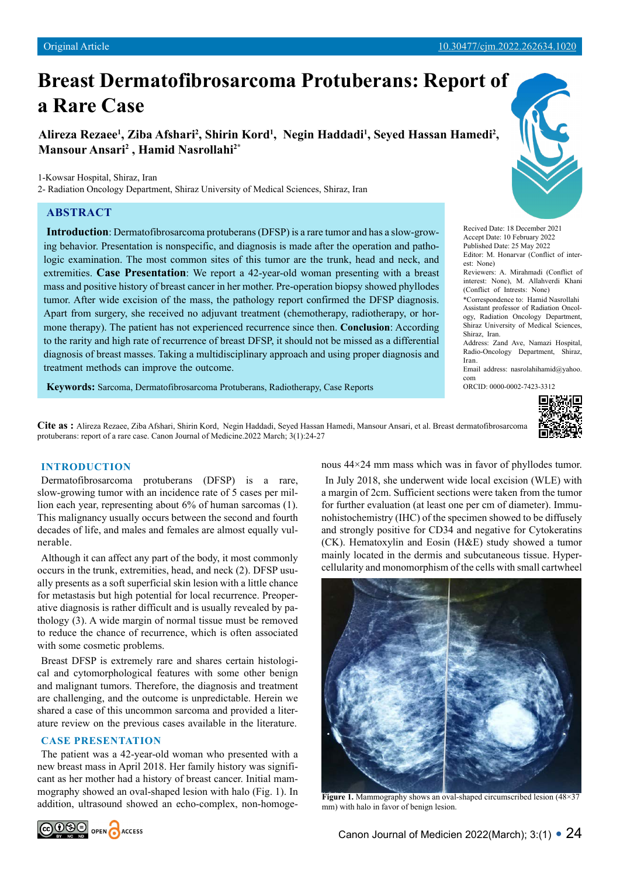# **Breast Dermatofibrosarcoma Protuberans: Report of a Rare Case**

Alireza Rezaee<sup>1</sup>, Ziba Afshari<sup>2</sup>, Shirin Kord<sup>1</sup>, Negin Haddadi<sup>1</sup>, Seyed Hassan Hamedi<sup>2</sup>, **Mansour Ansari2 , Hamid Nasrollahi2\***

1-Kowsar Hospital, Shiraz, Iran

2- Radiation Oncology Department, Shiraz University of Medical Sciences, Shiraz, Iran

## **ABSTRACT**

**Introduction**: Dermatofibrosarcoma protuberans (DFSP) is a rare tumor and has a slow-growing behavior. Presentation is nonspecific, and diagnosis is made after the operation and pathologic examination. The most common sites of this tumor are the trunk, head and neck, and extremities. **Case Presentation**: We report a 42-year-old woman presenting with a breast mass and positive history of breast cancer in her mother. Pre-operation biopsy showed phyllodes tumor. After wide excision of the mass, the pathology report confirmed the DFSP diagnosis. Apart from surgery, she received no adjuvant treatment (chemotherapy, radiotherapy, or hormone therapy). The patient has not experienced recurrence since then. **Conclusion**: According to the rarity and high rate of recurrence of breast DFSP, it should not be missed as a differential diagnosis of breast masses. Taking a multidisciplinary approach and using proper diagnosis and treatment methods can improve the outcome.

**Keywords:** Sarcoma, Dermatofibrosarcoma Protuberans, Radiotherapy, Case Reports



Recived Date: 18 December 2021 Accept Date: 10 February 2022 Published Date: 25 May 2022 Editor: M. Honarvar (Conflict of interest: None) Reviewers: A. Mirahmadi (Conflict of

interest: None), M. Allahverdi Khani (Conflict of Intrests: None)

\*Correspondence to: Hamid Nasrollahi Assistant professor of Radiation Oncology, Radiation Oncology Department, Shiraz University of Medical Sciences, Shiraz, Iran.

Address: Zand Ave, Namazi Hospital, Radio-Oncology Department, Shiraz, Iran.

Email address: nasrolahihamid@yahoo. com

ORCID: 0000-0002-7423-3312



**Cite as :** Alireza Rezaee, Ziba Afshari, Shirin Kord, Negin Haddadi, Seyed Hassan Hamedi, Mansour Ansari, et al. Breast dermatofibrosarcoma protuberans: report of a rare case. Canon Journal of Medicine.2022 March; 3(1):24-27

## **INTRODUCTION**

Dermatofibrosarcoma protuberans (DFSP) is a rare, slow-growing tumor with an incidence rate of 5 cases per million each year, representing about 6% of human sarcomas (1). This malignancy usually occurs between the second and fourth decades of life, and males and females are almost equally vulnerable.

Although it can affect any part of the body, it most commonly occurs in the trunk, extremities, head, and neck (2). DFSP usually presents as a soft superficial skin lesion with a little chance for metastasis but high potential for local recurrence. Preoperative diagnosis is rather difficult and is usually revealed by pathology (3). A wide margin of normal tissue must be removed to reduce the chance of recurrence, which is often associated with some cosmetic problems.

Breast DFSP is extremely rare and shares certain histological and cytomorphological features with some other benign and malignant tumors. Therefore, the diagnosis and treatment are challenging, and the outcome is unpredictable. Herein we shared a case of this uncommon sarcoma and provided a literature review on the previous cases available in the literature.

### **CASE PRESENTATION**

The patient was a 42-year-old woman who presented with a new breast mass in April 2018. Her family history was significant as her mother had a history of breast cancer. Initial mammography showed an oval-shaped lesion with halo (Fig. 1). In addition, ultrasound showed an echo-complex, non-homogenous 44×24 mm mass which was in favor of phyllodes tumor.

In July 2018, she underwent wide local excision (WLE) with a margin of 2cm. Sufficient sections were taken from the tumor for further evaluation (at least one per cm of diameter). Immunohistochemistry (IHC) of the specimen showed to be diffusely and strongly positive for CD34 and negative for Cytokeratins (CK). Hematoxylin and Eosin (H&E) study showed a tumor mainly located in the dermis and subcutaneous tissue. Hypercellularity and monomorphism of the cells with small cartwheel



**Figure 1.** Mammography shows an oval-shaped circumscribed lesion (48×37) mm) with halo in favor of benign lesion.

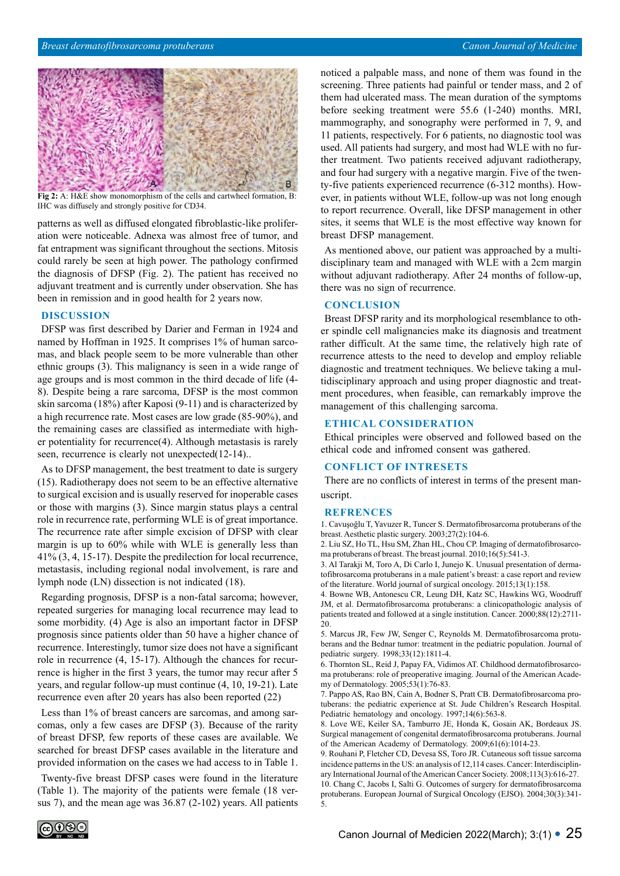

**Fig 2:** A: H&E show monomorphism of the cells and cartwheel formation, B: IHC was diffusely and strongly positive for CD34.

patterns as well as diffused elongated fibroblastic-like proliferation were noticeable. Adnexa was almost free of tumor, and fat entrapment was significant throughout the sections. Mitosis could rarely be seen at high power. The pathology confirmed the diagnosis of DFSP (Fig. 2). The patient has received no adjuvant treatment and is currently under observation. She has been in remission and in good health for 2 years now.

#### **DISCUSSION**

DFSP was first described by Darier and Ferman in 1924 and named by Hoffman in 1925. It comprises 1% of human sarcomas, and black people seem to be more vulnerable than other ethnic groups (3). This malignancy is seen in a wide range of age groups and is most common in the third decade of life (4- 8). Despite being a rare sarcoma, DFSP is the most common skin sarcoma (18%) after Kaposi (9-11) and is characterized by a high recurrence rate. Most cases are low grade (85-90%), and the remaining cases are classified as intermediate with higher potentiality for recurrence(4). Although metastasis is rarely seen, recurrence is clearly not unexpected(12-14)...

As to DFSP management, the best treatment to date is surgery (15). Radiotherapy does not seem to be an effective alternative to surgical excision and is usually reserved for inoperable cases or those with margins (3). Since margin status plays a central role in recurrence rate, performing WLE is of great importance. The recurrence rate after simple excision of DFSP with clear margin is up to 60% while with WLE is generally less than 41% (3, 4, 15-17). Despite the predilection for local recurrence, metastasis, including regional nodal involvement, is rare and lymph node (LN) dissection is not indicated (18).

Regarding prognosis, DFSP is a non-fatal sarcoma; however, repeated surgeries for managing local recurrence may lead to some morbidity. (4) Age is also an important factor in DFSP prognosis since patients older than 50 have a higher chance of recurrence. Interestingly, tumor size does not have a significant role in recurrence (4, 15-17). Although the chances for recurrence is higher in the first 3 years, the tumor may recur after 5 years, and regular follow-up must continue (4, 10, 19-21). Late recurrence even after 20 years has also been reported (22)

Less than 1% of breast cancers are sarcomas, and among sarcomas, only a few cases are DFSP (3). Because of the rarity of breast DFSP, few reports of these cases are available. We searched for breast DFSP cases available in the literature and provided information on the cases we had access to in Table 1.

Twenty-five breast DFSP cases were found in the literature (Table 1). The majority of the patients were female (18 versus 7), and the mean age was 36.87 (2-102) years. All patients noticed a palpable mass, and none of them was found in the screening. Three patients had painful or tender mass, and 2 of them had ulcerated mass. The mean duration of the symptoms before seeking treatment were 55.6 (1-240) months. MRI, mammography, and sonography were performed in 7, 9, and 11 patients, respectively. For 6 patients, no diagnostic tool was used. All patients had surgery, and most had WLE with no further treatment. Two patients received adjuvant radiotherapy, and four had surgery with a negative margin. Five of the twenty-five patients experienced recurrence (6-312 months). However, in patients without WLE, follow-up was not long enough to report recurrence. Overall, like DFSP management in other sites, it seems that WLE is the most effective way known for breast DFSP management.

As mentioned above, our patient was approached by a multidisciplinary team and managed with WLE with a 2cm margin without adjuvant radiotherapy. After 24 months of follow-up, there was no sign of recurrence.

## **CONCLUSION**

Breast DFSP rarity and its morphological resemblance to other spindle cell malignancies make its diagnosis and treatment rather difficult. At the same time, the relatively high rate of recurrence attests to the need to develop and employ reliable diagnostic and treatment techniques. We believe taking a multidisciplinary approach and using proper diagnostic and treatment procedures, when feasible, can remarkably improve the management of this challenging sarcoma.

#### **ETHICAL CONSIDERATION**

Ethical principles were observed and followed based on the ethical code and infromed consent was gathered.

### **CONFLICT OF INTRESETS**

There are no conflicts of interest in terms of the present manuscript.

#### **REFRENCES**

1. Cavuşoğlu T, Yavuzer R, Tuncer S. Dermatofibrosarcoma protuberans of the breast. Aesthetic plastic surgery. 2003;27(2):104-6.

2. Liu SZ, Ho TL, Hsu SM, Zhan HL, Chou CP. Imaging of dermatofibrosarcoma protuberans of breast. The breast journal. 2010;16(5):541-3.

3. Al Tarakji M, Toro A, Di Carlo I, Junejo K. Unusual presentation of dermatofibrosarcoma protuberans in a male patient's breast: a case report and review of the literature. World journal of surgical oncology. 2015;13(1):158.

4. Bowne WB, Antonescu CR, Leung DH, Katz SC, Hawkins WG, Woodruff JM, et al. Dermatofibrosarcoma protuberans: a clinicopathologic analysis of patients treated and followed at a single institution. Cancer. 2000;88(12):2711- 20.

5. Marcus JR, Few JW, Senger C, Reynolds M. Dermatofibrosarcoma protuberans and the Bednar tumor: treatment in the pediatric population. Journal of pediatric surgery. 1998;33(12):1811-4.

6. Thornton SL, Reid J, Papay FA, Vidimos AT. Childhood dermatofibrosarcoma protuberans: role of preoperative imaging. Journal of the American Academy of Dermatology. 2005;53(1):76-83.

7. Pappo AS, Rao BN, Cain A, Bodner S, Pratt CB. Dermatofibrosarcoma protuberans: the pediatric experience at St. Jude Children's Research Hospital. Pediatric hematology and oncology. 1997;14(6):563-8.

8. Love WE, Keiler SA, Tamburro JE, Honda K, Gosain AK, Bordeaux JS. Surgical management of congenital dermatofibrosarcoma protuberans. Journal of the American Academy of Dermatology. 2009;61(6):1014-23.

9. Rouhani P, Fletcher CD, Devesa SS, Toro JR. Cutaneous soft tissue sarcoma incidence patterns in the US: an analysis of 12,114 cases. Cancer: Interdisciplinary International Journal of the American Cancer Society. 2008;113(3):616-27. 10. Chang C, Jacobs I, Salti G. Outcomes of surgery for dermatofibrosarcoma protuberans. European Journal of Surgical Oncology (EJSO). 2004;30(3):341- 5.

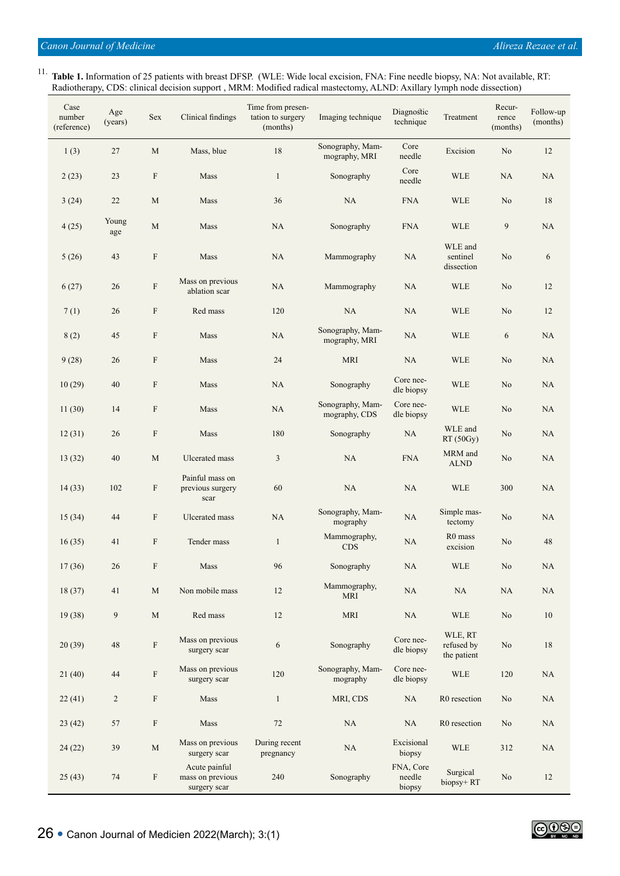11. **Table 1.** Information of 25 patients with breast DFSP. (WLE: Wide local excision, FNA: Fine needle biopsy, NA: Not available, RT: Radiotherapy, CDS: clinical decision support , MRM: Modified radical mastectomy, ALND: Axillary lymph node dissection)

| Case<br>number<br>(reference) | Age<br>(years) | Sex                       | Clinical findings                                 | Time from presen-<br>tation to surgery<br>(months) | Imaging technique                 | Diagnostic<br>technique       | Treatment                            | Recur-<br>rence<br>(months) | Follow-up<br>(months) |
|-------------------------------|----------------|---------------------------|---------------------------------------------------|----------------------------------------------------|-----------------------------------|-------------------------------|--------------------------------------|-----------------------------|-----------------------|
| 1(3)                          | 27             | M                         | Mass, blue                                        | 18                                                 | Sonography, Mam-<br>mography, MRI | Core<br>needle                | Excision                             | No                          | 12                    |
| 2(23)                         | 23             | $\boldsymbol{\mathrm{F}}$ | Mass                                              | $\mathbf{1}$                                       | Sonography                        | Core<br>needle                | <b>WLE</b>                           | NA                          | NA                    |
| 3(24)                         | 22             | $\mathbf M$               | Mass                                              | 36                                                 | NA                                | <b>FNA</b>                    | <b>WLE</b>                           | No                          | 18                    |
| 4(25)                         | Young<br>age   | $\mathbf M$               | Mass                                              | NA                                                 | Sonography                        | <b>FNA</b>                    | <b>WLE</b>                           | 9                           | NA                    |
| 5(26)                         | 43             | $\boldsymbol{\mathrm{F}}$ | Mass                                              | NA                                                 | Mammography                       | <b>NA</b>                     | WLE and<br>sentinel<br>dissection    | No                          | 6                     |
| 6(27)                         | 26             | ${\bf F}$                 | Mass on previous<br>ablation scar                 | NA                                                 | Mammography                       | NA                            | <b>WLE</b>                           | No                          | 12                    |
| 7(1)                          | 26             | $\boldsymbol{\mathrm{F}}$ | Red mass                                          | 120                                                | NA                                | NA                            | <b>WLE</b>                           | No                          | 12                    |
| 8(2)                          | 45             | $\boldsymbol{\mathrm{F}}$ | Mass                                              | NA                                                 | Sonography, Mam-<br>mography, MRI | NA                            | <b>WLE</b>                           | 6                           | NA                    |
| 9(28)                         | 26             | $\boldsymbol{\mathrm{F}}$ | Mass                                              | 24                                                 | <b>MRI</b>                        | NA                            | <b>WLE</b>                           | No                          | NA                    |
| 10(29)                        | 40             | $\boldsymbol{\mathrm{F}}$ | Mass                                              | NA                                                 | Sonography                        | Core nee-<br>dle biopsy       | <b>WLE</b>                           | No                          | NA                    |
| 11(30)                        | 14             | $\boldsymbol{\mathrm{F}}$ | Mass                                              | NA                                                 | Sonography, Mam-<br>mography, CDS | Core nee-<br>dle biopsy       | <b>WLE</b>                           | No                          | <b>NA</b>             |
| 12(31)                        | 26             | $\boldsymbol{\mathrm{F}}$ | Mass                                              | 180                                                | Sonography                        | NA                            | WLE and<br>RT(50Gy)                  | No                          | NA                    |
| 13(32)                        | 40             | M                         | Ulcerated mass                                    | 3                                                  | NA                                | <b>FNA</b>                    | MRM and<br><b>ALND</b>               | No                          | NA                    |
| 14(33)                        | 102            | F                         | Painful mass on<br>previous surgery<br>scar       | 60                                                 | NA                                | NA                            | <b>WLE</b>                           | 300                         | NA                    |
| 15(34)                        | 44             | $\boldsymbol{\mathrm{F}}$ | Ulcerated mass                                    | <b>NA</b>                                          | Sonography, Mam-<br>mography      | NA                            | Simple mas-<br>tectomy               | No                          | NA                    |
| 16(35)                        | 41             | $\boldsymbol{\mathrm{F}}$ | Tender mass                                       | $\mathbf{1}$                                       | Mammography,<br><b>CDS</b>        | NA                            | R <sub>0</sub> mass<br>excision      | No                          | 48                    |
| 17(36)                        | $26\,$         | $\boldsymbol{\mathrm{F}}$ | Mass                                              | 96                                                 | Sonography                        | NA                            | WLE                                  | $\rm No$                    | $\rm NA$              |
| 18(37)                        | 41             | M                         | Non mobile mass                                   | 12                                                 | Mammography,<br><b>MRI</b>        | $\rm NA$                      | NA                                   | NA                          | NA                    |
| 19(38)                        | 9              | M                         | Red mass                                          | 12                                                 | <b>MRI</b>                        | NA                            | WLE                                  | No                          | 10                    |
| 20(39)                        | $\sqrt{48}$    | $\rm F$                   | Mass on previous<br>surgery scar                  | $\boldsymbol{6}$                                   | Sonography                        | Core nee-<br>dle biopsy       | WLE, RT<br>refused by<br>the patient | No                          | $18\,$                |
| 21(40)                        | 44             | ${\bf F}$                 | Mass on previous<br>surgery scar                  | 120                                                | Sonography, Mam-<br>mography      | Core nee-<br>dle biopsy       | <b>WLE</b>                           | 120                         | NA                    |
| 22(41)                        | $\overline{2}$ | $\boldsymbol{\mathrm{F}}$ | Mass                                              | $\mathbf{1}$                                       | MRI, CDS                          | $\rm NA$                      | R0 resection                         | No                          | $\rm NA$              |
| 23(42)                        | 57             | $\boldsymbol{\mathrm{F}}$ | Mass                                              | $72\,$                                             | NA                                | NA                            | R0 resection                         | No                          | NA                    |
| 24(22)                        | 39             | $\mathbf M$               | Mass on previous<br>surgery scar                  | During recent<br>pregnancy                         | NA                                | Excisional<br>biopsy          | WLE                                  | 312                         | $\rm NA$              |
| 25(43)                        | 74             | $\mathbf F$               | Acute painful<br>mass on previous<br>surgery scar | 240                                                | Sonography                        | FNA, Core<br>needle<br>biopsy | Surgical<br>biopsy+RT                | No                          | 12                    |